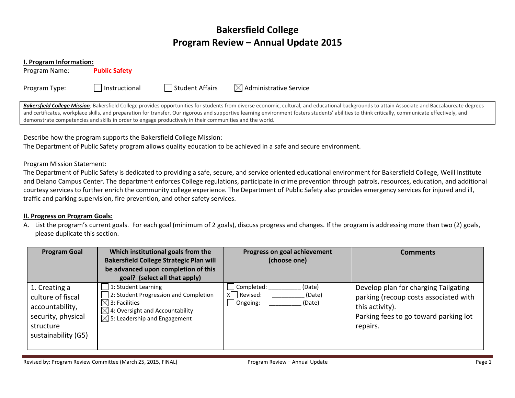# **Bakersfield College Program Review – Annual Update 2015**

**I. Program Information:** Program Name: **Public Safety**  Program Type:  $\Box$  Instructional  $\Box$  Student Affairs  $\Box$  Administrative Service Bakersfield College Mission: Bakersfield College provides opportunities for students from diverse economic, cultural, and educational backgrounds to attain Associate and Baccalaureate degrees and certificates, workplace skills, and preparation for transfer. Our rigorous and supportive learning environment fosters students' abilities to think critically, communicate effectively, and demonstrate competencies and skills in order to engage productively in their communities and the world. Describe how the program supports the Bakersfield College Mission: The Department of Public Safety program allows quality education to be achieved in a safe and secure environment. Program Mission Statement: The Department of Public Safety is dedicated to providing a safe, secure, and service oriented educational environment for Bakersfield College, Weill Institute and Delano Campus Center. The department enforces College regulations, participate in crime prevention through patrols, resources, education, and additional courtesy services to further enrich the community college experience. The Department of Public Safety also provides emergency services for injured and ill, traffic and parking supervision, fire prevention, and other safety services.

## **II. Progress on Program Goals:**

A. List the program's current goals. For each goal (minimum of 2 goals), discuss progress and changes. If the program is addressing more than two (2) goals, please duplicate this section.

| <b>Program Goal</b>                                                                                             | Which institutional goals from the<br><b>Bakersfield College Strategic Plan will</b><br>be advanced upon completion of this<br>goal? (select all that apply)                         | Progress on goal achievement<br>(choose one)                         | <b>Comments</b>                                                                                                                                       |
|-----------------------------------------------------------------------------------------------------------------|--------------------------------------------------------------------------------------------------------------------------------------------------------------------------------------|----------------------------------------------------------------------|-------------------------------------------------------------------------------------------------------------------------------------------------------|
| 1. Creating a<br>culture of fiscal<br>accountability,<br>security, physical<br>structure<br>sustainability (G5) | 1: Student Learning<br>2: Student Progression and Completion<br>$\boxtimes$ 3: Facilities<br>$\boxtimes$ 4: Oversight and Accountability<br>$\boxtimes$ 5: Leadership and Engagement | Completed:<br>(Date)<br>$X$ Revised:<br>(Date)<br>Ongoing:<br>(Date) | Develop plan for charging Tailgating<br>parking (recoup costs associated with<br>this activity).<br>Parking fees to go toward parking lot<br>repairs. |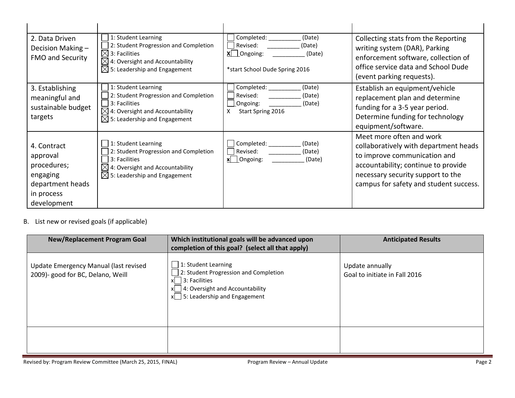| 2. Data Driven<br>Decision Making -<br><b>FMO and Security</b>                                      | 1: Student Learning<br>2: Student Progression and Completion<br>$\boxtimes$ 3: Facilities<br>$\boxtimes$ 4: Oversight and Accountability<br>$\boxtimes$ 5: Leadership and Engagement | Completed:<br>(Date)<br>Revised:<br>(Date)<br>X   Ongoing:<br>(Date)<br>*start School Dude Spring 2016 | Collecting stats from the Reporting<br>writing system (DAR), Parking<br>enforcement software, collection of<br>office service data and School Dude<br>(event parking requests).                                         |
|-----------------------------------------------------------------------------------------------------|--------------------------------------------------------------------------------------------------------------------------------------------------------------------------------------|--------------------------------------------------------------------------------------------------------|-------------------------------------------------------------------------------------------------------------------------------------------------------------------------------------------------------------------------|
| 3. Establishing<br>meaningful and<br>sustainable budget<br>targets                                  | 1: Student Learning<br>2: Student Progression and Completion<br>3: Facilities<br>$\boxtimes$ 4: Oversight and Accountability<br>$\boxtimes$ 5: Leadership and Engagement             | Completed: _<br>(Date)<br>Revised:<br>(Date)<br>Ongoing:<br>(Date)<br>Start Spring 2016<br>x           | Establish an equipment/vehicle<br>replacement plan and determine<br>funding for a 3-5 year period.<br>Determine funding for technology<br>equipment/software.                                                           |
| 4. Contract<br>approval<br>procedures;<br>engaging<br>department heads<br>in process<br>development | 1: Student Learning<br>2: Student Progression and Completion<br>3: Facilities<br>$\boxtimes$ 4: Oversight and Accountability<br>$\boxtimes$ 5: Leadership and Engagement             | Completed:<br>(Date)<br>Revised:<br>(Date)<br>x   Ongoing:<br>(Date)                                   | Meet more often and work<br>collaboratively with department heads<br>to improve communication and<br>accountability; continue to provide<br>necessary security support to the<br>campus for safety and student success. |

# B. List new or revised goals (if applicable)

| <b>New/Replacement Program Goal</b>                                        | Which institutional goals will be advanced upon<br>completion of this goal? (select all that apply)                                                                  | <b>Anticipated Results</b>                       |
|----------------------------------------------------------------------------|----------------------------------------------------------------------------------------------------------------------------------------------------------------------|--------------------------------------------------|
| Update Emergency Manual (last revised<br>2009)- good for BC, Delano, Weill | 1: Student Learning<br>2: Student Progression and Completion<br>$ 3:$ Facilities<br>xl<br>$\Box$ 4: Oversight and Accountability<br>$x$ 5: Leadership and Engagement | Update annually<br>Goal to initiate in Fall 2016 |
|                                                                            |                                                                                                                                                                      |                                                  |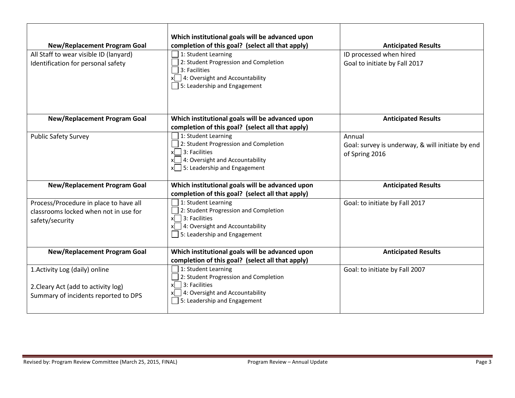| <b>New/Replacement Program Goal</b><br>All Staff to wear visible ID (lanyard)<br>Identification for personal safety | Which institutional goals will be advanced upon<br>completion of this goal? (select all that apply)<br>1: Student Learning<br>2: Student Progression and Completion<br>3: Facilities<br>$x$ 4: Oversight and Accountability<br>$\Box$ 5: Leadership and Engagement | <b>Anticipated Results</b><br>ID processed when hired<br>Goal to initiate by Fall 2017 |
|---------------------------------------------------------------------------------------------------------------------|--------------------------------------------------------------------------------------------------------------------------------------------------------------------------------------------------------------------------------------------------------------------|----------------------------------------------------------------------------------------|
| <b>New/Replacement Program Goal</b>                                                                                 | Which institutional goals will be advanced upon<br>completion of this goal? (select all that apply)                                                                                                                                                                | <b>Anticipated Results</b>                                                             |
| <b>Public Safety Survey</b>                                                                                         | 1: Student Learning<br>2: Student Progression and Completion<br>$x \sim 3$ : Facilities<br>$x$ 4: Oversight and Accountability<br>$x \cap 5$ : Leadership and Engagement                                                                                           | Annual<br>Goal: survey is underway, & will initiate by end<br>of Spring 2016           |
| <b>New/Replacement Program Goal</b>                                                                                 | Which institutional goals will be advanced upon<br>completion of this goal? (select all that apply)                                                                                                                                                                | <b>Anticipated Results</b>                                                             |
| Process/Procedure in place to have all<br>classrooms locked when not in use for<br>safety/security                  | 1: Student Learning<br>2: Student Progression and Completion<br>$x \mid 3$ : Facilities<br>$x \t 4$ : Oversight and Accountability<br>$\Box$ 5: Leadership and Engagement                                                                                          | Goal: to initiate by Fall 2017                                                         |
| <b>New/Replacement Program Goal</b>                                                                                 | Which institutional goals will be advanced upon<br>completion of this goal? (select all that apply)                                                                                                                                                                | <b>Anticipated Results</b>                                                             |
| 1. Activity Log (daily) online<br>2. Cleary Act (add to activity log)<br>Summary of incidents reported to DPS       | 1: Student Learning<br>2: Student Progression and Completion<br>$x \Box$ 3: Facilities<br>$x$ 4: Oversight and Accountability<br>$\Box$ 5: Leadership and Engagement                                                                                               | Goal: to initiate by Fall 2007                                                         |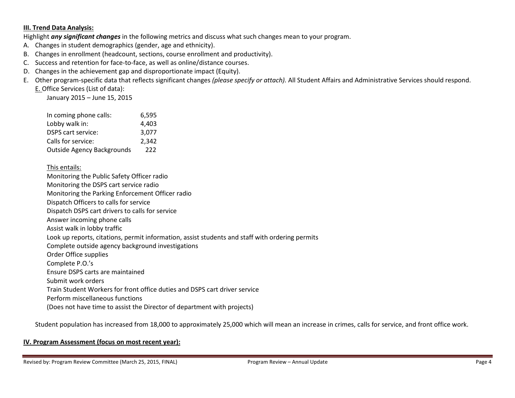## **III. Trend Data Analysis:**

Highlight *any significant changes* in the following metrics and discuss what such changes mean to your program.

- A. Changes in student demographics (gender, age and ethnicity).
- B. Changes in enrollment (headcount, sections, course enrollment and productivity).
- C. Success and retention for face-to-face, as well as online/distance courses.
- D. Changes in the achievement gap and disproportionate impact (Equity).
- E. Other program-specific data that reflects significant changes *(please specify or attach).* All Student Affairs and Administrative Services should respond.

E. Office Services (List of data):

January 2015 – June 15, 2015

| In coming phone calls:            | 6,595 |
|-----------------------------------|-------|
| Lobby walk in:                    | 4,403 |
| <b>DSPS cart service:</b>         | 3,077 |
| Calls for service:                | 2,342 |
| <b>Outside Agency Backgrounds</b> | 222   |

## This entails:

Monitoring the Public Safety Officer radio

Monitoring the DSPS cart service radio

Monitoring the Parking Enforcement Officer radio

Dispatch Officers to calls for service

Dispatch DSPS cart drivers to calls for service

- Answer incoming phone calls
- Assist walk in lobby traffic
- Look up reports, citations, permit information, assist students and staff with ordering permits
- Complete outside agency background investigations
- Order Office supplies

Complete P.O.'s

Ensure DSPS carts are maintained

Submit work orders

Train Student Workers for front office duties and DSPS cart driver service

Perform miscellaneous functions

(Does not have time to assist the Director of department with projects)

Student population has increased from 18,000 to approximately 25,000 which will mean an increase in crimes, calls for service, and front office work.

## **IV. Program Assessment (focus on most recent year):**

Revised by: Program Review Committee (March 25, 2015, FINAL) Program Review – Annual Update Page 4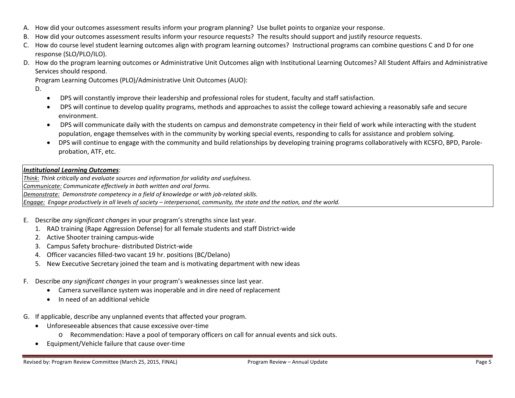- A. How did your outcomes assessment results inform your program planning? Use bullet points to organize your response.
- B. How did your outcomes assessment results inform your resource requests? The results should support and justify resource requests.
- C. How do course level student learning outcomes align with program learning outcomes? Instructional programs can combine questions C and D for one response (SLO/PLO/ILO).
- D. How do the program learning outcomes or Administrative Unit Outcomes align with Institutional Learning Outcomes? All Student Affairs and Administrative Services should respond.

Program Learning Outcomes (PLO)/Administrative Unit Outcomes (AUO):

- D.
- DPS will constantly improve their leadership and professional roles for student, faculty and staff satisfaction.
- DPS will continue to develop quality programs, methods and approaches to assist the college toward achieving a reasonably safe and secure environment.
- DPS will communicate daily with the students on campus and demonstrate competency in their field of work while interacting with the student population, engage themselves with in the community by working special events, responding to calls for assistance and problem solving.
- DPS will continue to engage with the community and build relationships by developing training programs collaboratively with KCSFO, BPD, Paroleprobation, ATF, etc.

## *Institutional Learning Outcomes*:

*Think: Think critically and evaluate sources and information for validity and usefulness. Communicate: Communicate effectively in both written and oral forms. Demonstrate: Demonstrate competency in a field of knowledge or with job-related skills. Engage: Engage productively in all levels of society – interpersonal, community, the state and the nation, and the world.*

- E. Describe *any significant changes* in your program's strengths since last year.
	- 1. RAD training (Rape Aggression Defense) for all female students and staff District-wide
	- 2. Active Shooter training campus-wide
	- 3. Campus Safety brochure- distributed District-wide
	- 4. Officer vacancies filled-two vacant 19 hr. positions (BC/Delano)
	- 5. New Executive Secretary joined the team and is motivating department with new ideas
- F. Describe *any significant changes* in your program's weaknesses since last year.
	- Camera surveillance system was inoperable and in dire need of replacement
	- In need of an additional vehicle
- G. If applicable, describe any unplanned events that affected your program.
	- Unforeseeable absences that cause excessive over-time
		- o Recommendation: Have a pool of temporary officers on call for annual events and sick outs.
	- Equipment/Vehicle failure that cause over-time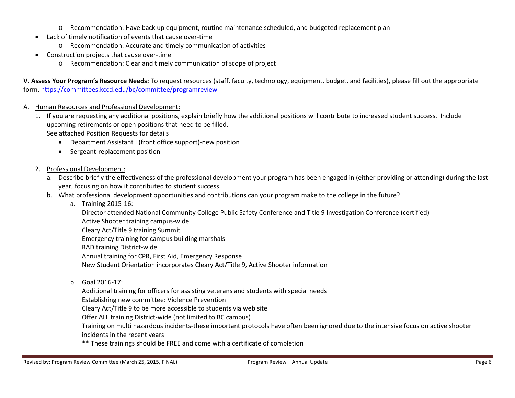- o Recommendation: Have back up equipment, routine maintenance scheduled, and budgeted replacement plan
- Lack of timely notification of events that cause over-time
	- o Recommendation: Accurate and timely communication of activities
- Construction projects that cause over-time
	- o Recommendation: Clear and timely communication of scope of project

**V. Assess Your Program's Resource Needs:** To request resources (staff, faculty, technology, equipment, budget, and facilities), please fill out the appropriate form.<https://committees.kccd.edu/bc/committee/programreview>

- A. Human Resources and Professional Development:
	- 1. If you are requesting any additional positions, explain briefly how the additional positions will contribute to increased student success. Include upcoming retirements or open positions that need to be filled.

See attached Position Requests for details

- Department Assistant I (front office support)-new position
- Sergeant-replacement position
- 2. Professional Development:
	- a. Describe briefly the effectiveness of the professional development your program has been engaged in (either providing or attending) during the last year, focusing on how it contributed to student success.
	- b. What professional development opportunities and contributions can your program make to the college in the future?
		- a. Training 2015-16:

Director attended National Community College Public Safety Conference and Title 9 Investigation Conference (certified)

Active Shooter training campus-wide

- Cleary Act/Title 9 training Summit
- Emergency training for campus building marshals
- RAD training District-wide
- Annual training for CPR, First Aid, Emergency Response

New Student Orientation incorporates Cleary Act/Title 9, Active Shooter information

b. Goal 2016-17:

Additional training for officers for assisting veterans and students with special needs

Establishing new committee: Violence Prevention

Cleary Act/Title 9 to be more accessible to students via web site

Offer ALL training District-wide (not limited to BC campus)

Training on multi hazardous incidents-these important protocols have often been ignored due to the intensive focus on active shooter incidents in the recent years

\*\* These trainings should be FREE and come with a certificate of completion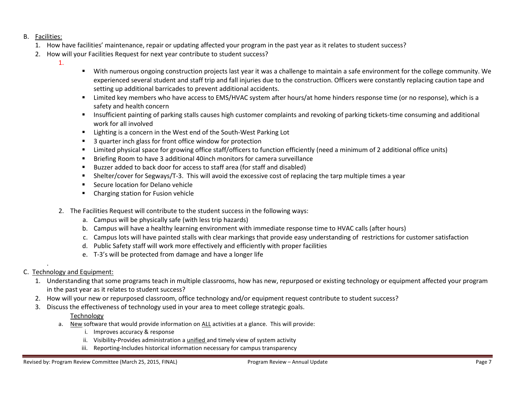- B. Facilities:
	- 1. How have facilities' maintenance, repair or updating affected your program in the past year as it relates to student success?
	- 2. How will your Facilities Request for next year contribute to student success?
		- 1.
- With numerous ongoing construction projects last year it was a challenge to maintain a safe environment for the college community. We experienced several student and staff trip and fall injuries due to the construction. Officers were constantly replacing caution tape and setting up additional barricades to prevent additional accidents.
- Limited key members who have access to EMS/HVAC system after hours/at home hinders response time (or no response), which is a safety and health concern
- Insufficient painting of parking stalls causes high customer complaints and revoking of parking tickets-time consuming and additional work for all involved
- Lighting is a concern in the West end of the South-West Parking Lot
- 3 quarter inch glass for front office window for protection
- Limited physical space for growing office staff/officers to function efficiently (need a minimum of 2 additional office units)
- Briefing Room to have 3 additional 40inch monitors for camera surveillance
- Buzzer added to back door for access to staff area (for staff and disabled)
- Shelter/cover for Segways/T-3. This will avoid the excessive cost of replacing the tarp multiple times a year
- Secure location for Delano vehicle
- Charging station for Fusion vehicle
- 2. The Facilities Request will contribute to the student success in the following ways:
	- a. Campus will be physically safe (with less trip hazards)
	- b. Campus will have a healthy learning environment with immediate response time to HVAC calls (after hours)
	- c. Campus lots will have painted stalls with clear markings that provide easy understanding of restrictions for customer satisfaction
	- d. Public Safety staff will work more effectively and efficiently with proper facilities
	- e. T-3's will be protected from damage and have a longer life
- C. Technology and Equipment:

.

- 1. Understanding that some programs teach in multiple classrooms, how has new, repurposed or existing technology or equipment affected your program in the past year as it relates to student success?
- 2. How will your new or repurposed classroom, office technology and/or equipment request contribute to student success?
- 3. Discuss the effectiveness of technology used in your area to meet college strategic goals.

## Technology

- a. New software that would provide information on ALL activities at a glance. This will provide:
	- i. Improves accuracy & response
	- ii. Visibility-Provides administration a unified and timely view of system activity
	- iii. Reporting-Includes historical information necessary for campus transparency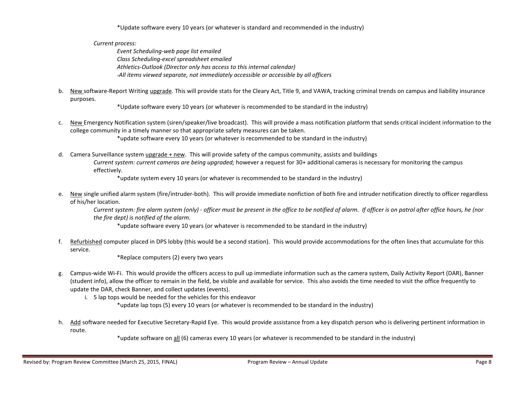\*Update software every 10 years (or whatever is standard and recommended in the industry)

*Current process:*

*Event Scheduling-web page list emailed Class Scheduling-excel spreadsheet emailed Athletics-Outlook (Director only has access to this internal calendar) -All items viewed separate, not immediately accessible or accessible by all officers*

b. New software-Report Writing upgrade. This will provide stats for the Cleary Act, Title 9, and VAWA, tracking criminal trends on campus and liability insurance purposes.

\*Update software every 10 years (or whatever is recommended to be standard in the industry)

c. New Emergency Notification system (siren/speaker/live broadcast). This will provide a mass notification platform that sends critical incident information to the college community in a timely manner so that appropriate safety measures can be taken.

\*update software every 10 years (or whatever is recommended to be standard in the industry)

d. Camera Surveillance system upgrade + new. This will provide safety of the campus community, assists and buildings *Current system: current cameras are being upgraded;* however a request for 30+ additional cameras is necessary for monitoring the campus effectively.

\*update system every 10 years (or whatever is recommended to be standard in the industry)

e. New single unified alarm system (fire/intruder-both). This will provide immediate nonfiction of both fire and intruder notification directly to officer regardless of his/her location.

*Current system: fire alarm system (only) - officer must be present in the office to be notified of alarm. If officer is on patrol after office hours, he (nor the fire dept) is notified of the alarm.*

\*update software every 10 years (or whatever is recommended to be standard in the industry)

f. Refurbished computer placed in DPS lobby (this would be a second station). This would provide accommodations for the often lines that accumulate for this service.

\*Replace computers (2) every two years

- g. Campus-wide Wi-Fi. This would provide the officers access to pull up immediate information such as the camera system, Daily Activity Report (DAR), Banner (student info), allow the officer to remain in the field, be visible and available for service. This also avoids the time needed to visit the office frequently to update the DAR, check Banner, and collect updates (events).
	- i. 5 lap tops would be needed for the vehicles for this endeavor \*update lap tops (5) every 10 years (or whatever is recommended to be standard in the industry)
- h. Add software needed for Executive Secretary-Rapid Eye. This would provide assistance from a key dispatch person who is delivering pertinent information in route.

\*update software on all (6) cameras every 10 years (or whatever is recommended to be standard in the industry)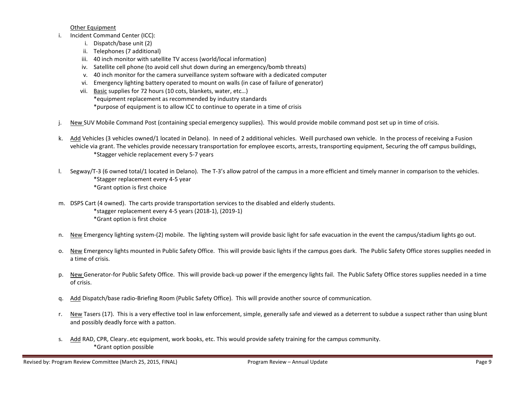Other Equipment

- i. Incident Command Center (ICC):
	- i. Dispatch/base unit (2)
	- ii. Telephones (7 additional)
	- iii. 40 inch monitor with satellite TV access (world/local information)
	- iv. Satellite cell phone (to avoid cell shut down during an emergency/bomb threats)
	- v. 40 inch monitor for the camera surveillance system software with a dedicated computer
	- vi. Emergency lighting battery operated to mount on walls (in case of failure of generator)
	- vii. Basic supplies for 72 hours (10 cots, blankets, water, etc…) \*equipment replacement as recommended by industry standards \*purpose of equipment is to allow ICC to continue to operate in a time of crisis
- New SUV Mobile Command Post (containing special emergency supplies). This would provide mobile command post set up in time of crisis.
- k. Add Vehicles (3 vehicles owned/1 located in Delano). In need of 2 additional vehicles. Weill purchased own vehicle. In the process of receiving a Fusion vehicle via grant. The vehicles provide necessary transportation for employee escorts, arrests, transporting equipment, Securing the off campus buildings, \*Stagger vehicle replacement every 5-7 years
- l. Segway/T-3 (6 owned total/1 located in Delano). The T-3's allow patrol of the campus in a more efficient and timely manner in comparison to the vehicles. \*Stagger replacement every 4-5 year \*Grant option is first choice
- m. DSPS Cart (4 owned). The carts provide transportation services to the disabled and elderly students. \*stagger replacement every 4-5 years (2018-1), (2019-1) \*Grant option is first choice
- n. New Emergency lighting system-(2) mobile. The lighting system will provide basic light for safe evacuation in the event the campus/stadium lights go out.
- o. New Emergency lights mounted in Public Safety Office. This will provide basic lights if the campus goes dark. The Public Safety Office stores supplies needed in a time of crisis.
- p. New Generator-for Public Safety Office. This will provide back-up power if the emergency lights fail. The Public Safety Office stores supplies needed in a time of crisis.
- q. Add Dispatch/base radio-Briefing Room (Public Safety Office). This will provide another source of communication.
- r. New Tasers (17). This is a very effective tool in law enforcement, simple, generally safe and viewed as a deterrent to subdue a suspect rather than using blunt and possibly deadly force with a patton.
- s. Add RAD, CPR, Cleary..etc equipment, work books, etc. This would provide safety training for the campus community. \*Grant option possible